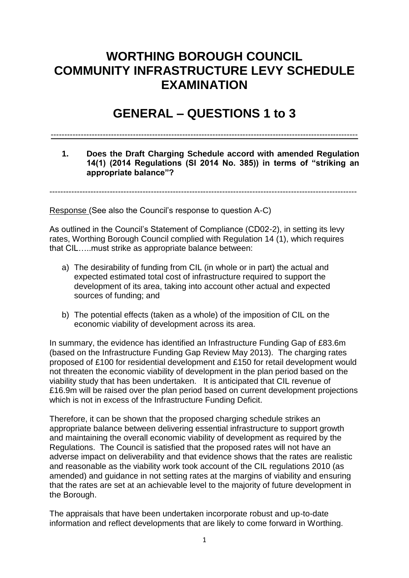# **WORTHING BOROUGH COUNCIL COMMUNITY INFRASTRUCTURE LEVY SCHEDULE EXAMINATION**

# **GENERAL – QUESTIONS 1 to 3**

#### ----------------------------------------------------------------------------------------------------------------

### **1. Does the Draft Charging Schedule accord with amended Regulation 14(1) (2014 Regulations (SI 2014 No. 385)) in terms of "striking an appropriate balance"?**

----------------------------------------------------------------------------------------------------------------

Response (See also the Council's response to question A-C)

As outlined in the Council's Statement of Compliance (CD02-2), in setting its levy rates, Worthing Borough Council complied with Regulation 14 (1), which requires that CIL…..must strike as appropriate balance between:

- a) The desirability of funding from CIL (in whole or in part) the actual and expected estimated total cost of infrastructure required to support the development of its area, taking into account other actual and expected sources of funding; and
- b) The potential effects (taken as a whole) of the imposition of CIL on the economic viability of development across its area.

In summary, the evidence has identified an Infrastructure Funding Gap of £83.6m (based on the Infrastructure Funding Gap Review May 2013). The charging rates proposed of £100 for residential development and £150 for retail development would not threaten the economic viability of development in the plan period based on the viability study that has been undertaken. It is anticipated that CIL revenue of £16.9m will be raised over the plan period based on current development projections which is not in excess of the Infrastructure Funding Deficit.

Therefore, it can be shown that the proposed charging schedule strikes an appropriate balance between delivering essential infrastructure to support growth and maintaining the overall economic viability of development as required by the Regulations. The Council is satisfied that the proposed rates will not have an adverse impact on deliverability and that evidence shows that the rates are realistic and reasonable as the viability work took account of the CIL regulations 2010 (as amended) and guidance in not setting rates at the margins of viability and ensuring that the rates are set at an achievable level to the majority of future development in the Borough.

The appraisals that have been undertaken incorporate robust and up-to-date information and reflect developments that are likely to come forward in Worthing.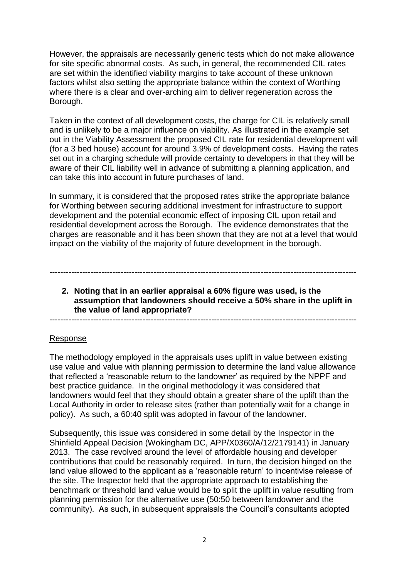However, the appraisals are necessarily generic tests which do not make allowance for site specific abnormal costs. As such, in general, the recommended CIL rates are set within the identified viability margins to take account of these unknown factors whilst also setting the appropriate balance within the context of Worthing where there is a clear and over-arching aim to deliver regeneration across the Borough.

Taken in the context of all development costs, the charge for CIL is relatively small and is unlikely to be a major influence on viability. As illustrated in the example set out in the Viability Assessment the proposed CIL rate for residential development will (for a 3 bed house) account for around 3.9% of development costs. Having the rates set out in a charging schedule will provide certainty to developers in that they will be aware of their CIL liability well in advance of submitting a planning application, and can take this into account in future purchases of land.

In summary, it is considered that the proposed rates strike the appropriate balance for Worthing between securing additional investment for infrastructure to support development and the potential economic effect of imposing CIL upon retail and residential development across the Borough. The evidence demonstrates that the charges are reasonable and it has been shown that they are not at a level that would impact on the viability of the majority of future development in the borough.

## **2. Noting that in an earlier appraisal a 60% figure was used, is the assumption that landowners should receive a 50% share in the uplift in the value of land appropriate?**

----------------------------------------------------------------------------------------------------------------

----------------------------------------------------------------------------------------------------------------

#### Response

The methodology employed in the appraisals uses uplift in value between existing use value and value with planning permission to determine the land value allowance that reflected a 'reasonable return to the landowner' as required by the NPPF and best practice guidance. In the original methodology it was considered that landowners would feel that they should obtain a greater share of the uplift than the Local Authority in order to release sites (rather than potentially wait for a change in policy). As such, a 60:40 split was adopted in favour of the landowner.

Subsequently, this issue was considered in some detail by the Inspector in the Shinfield Appeal Decision (Wokingham DC, APP/X0360/A/12/2179141) in January 2013. The case revolved around the level of affordable housing and developer contributions that could be reasonably required. In turn, the decision hinged on the land value allowed to the applicant as a 'reasonable return' to incentivise release of the site. The Inspector held that the appropriate approach to establishing the benchmark or threshold land value would be to split the uplift in value resulting from planning permission for the alternative use (50:50 between landowner and the community). As such, in subsequent appraisals the Council's consultants adopted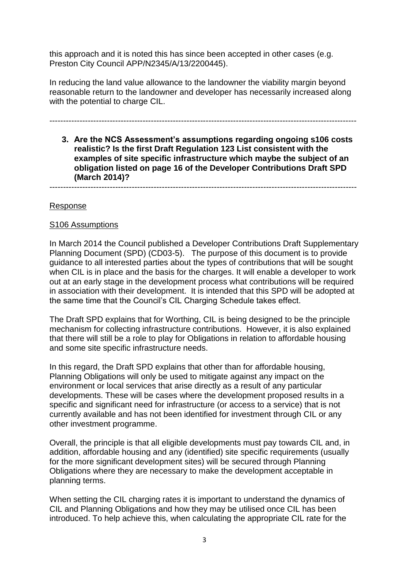this approach and it is noted this has since been accepted in other cases (e.g. Preston City Council APP/N2345/A/13/2200445).

In reducing the land value allowance to the landowner the viability margin beyond reasonable return to the landowner and developer has necessarily increased along with the potential to charge CIL.

### ----------------------------------------------------------------------------------------------------------------

**3. Are the NCS Assessment's assumptions regarding ongoing s106 costs realistic? Is the first Draft Regulation 123 List consistent with the examples of site specific infrastructure which maybe the subject of an obligation listed on page 16 of the Developer Contributions Draft SPD (March 2014)?**

----------------------------------------------------------------------------------------------------------------

#### Response

#### S106 Assumptions

In March 2014 the Council published a Developer Contributions Draft Supplementary Planning Document (SPD) (CD03-5). The purpose of this document is to provide guidance to all interested parties about the types of contributions that will be sought when CIL is in place and the basis for the charges. It will enable a developer to work out at an early stage in the development process what contributions will be required in association with their development. It is intended that this SPD will be adopted at the same time that the Council's CIL Charging Schedule takes effect.

The Draft SPD explains that for Worthing, CIL is being designed to be the principle mechanism for collecting infrastructure contributions. However, it is also explained that there will still be a role to play for Obligations in relation to affordable housing and some site specific infrastructure needs.

In this regard, the Draft SPD explains that other than for affordable housing, Planning Obligations will only be used to mitigate against any impact on the environment or local services that arise directly as a result of any particular developments. These will be cases where the development proposed results in a specific and significant need for infrastructure (or access to a service) that is not currently available and has not been identified for investment through CIL or any other investment programme.

Overall, the principle is that all eligible developments must pay towards CIL and, in addition, affordable housing and any (identified) site specific requirements (usually for the more significant development sites) will be secured through Planning Obligations where they are necessary to make the development acceptable in planning terms.

When setting the CIL charging rates it is important to understand the dynamics of CIL and Planning Obligations and how they may be utilised once CIL has been introduced. To help achieve this, when calculating the appropriate CIL rate for the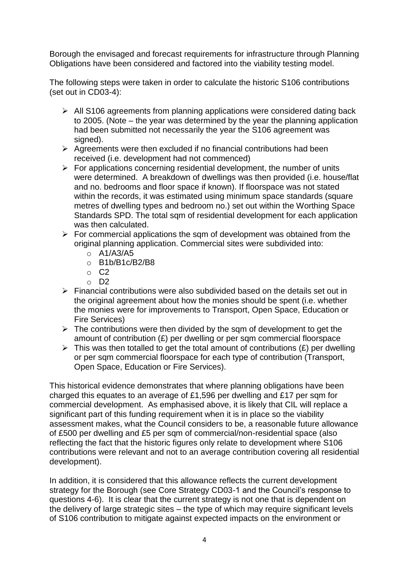Borough the envisaged and forecast requirements for infrastructure through Planning Obligations have been considered and factored into the viability testing model.

The following steps were taken in order to calculate the historic S106 contributions (set out in CD03-4):

- $\triangleright$  All S106 agreements from planning applications were considered dating back to 2005. (Note – the year was determined by the year the planning application had been submitted not necessarily the year the S106 agreement was signed).
- $\triangleright$  Agreements were then excluded if no financial contributions had been received (i.e. development had not commenced)
- $\triangleright$  For applications concerning residential development, the number of units were determined. A breakdown of dwellings was then provided (i.e. house/flat and no. bedrooms and floor space if known). If floorspace was not stated within the records, it was estimated using minimum space standards (square metres of dwelling types and bedroom no.) set out within the Worthing Space Standards SPD. The total sqm of residential development for each application was then calculated.
- $\triangleright$  For commercial applications the sqm of development was obtained from the original planning application. Commercial sites were subdivided into:
	- $\circ$  A1/A3/A5
	- o B1b/B1c/B2/B8
	- $\circ$  C<sub>2</sub>
	- o D2
- $\triangleright$  Financial contributions were also subdivided based on the details set out in the original agreement about how the monies should be spent (i.e. whether the monies were for improvements to Transport, Open Space, Education or Fire Services)
- $\triangleright$  The contributions were then divided by the sqm of development to get the amount of contribution (£) per dwelling or per sqm commercial floorspace
- $\triangleright$  This was then totalled to get the total amount of contributions (£) per dwelling or per sqm commercial floorspace for each type of contribution (Transport, Open Space, Education or Fire Services).

This historical evidence demonstrates that where planning obligations have been charged this equates to an average of £1,596 per dwelling and £17 per sqm for commercial development. As emphasised above, it is likely that CIL will replace a significant part of this funding requirement when it is in place so the viability assessment makes, what the Council considers to be, a reasonable future allowance of £500 per dwelling and £5 per sqm of commercial/non-residential space (also reflecting the fact that the historic figures only relate to development where S106 contributions were relevant and not to an average contribution covering all residential development).

In addition, it is considered that this allowance reflects the current development strategy for the Borough (see Core Strategy CD03-1 and the Council's response to questions 4-6). It is clear that the current strategy is not one that is dependent on the delivery of large strategic sites – the type of which may require significant levels of S106 contribution to mitigate against expected impacts on the environment or